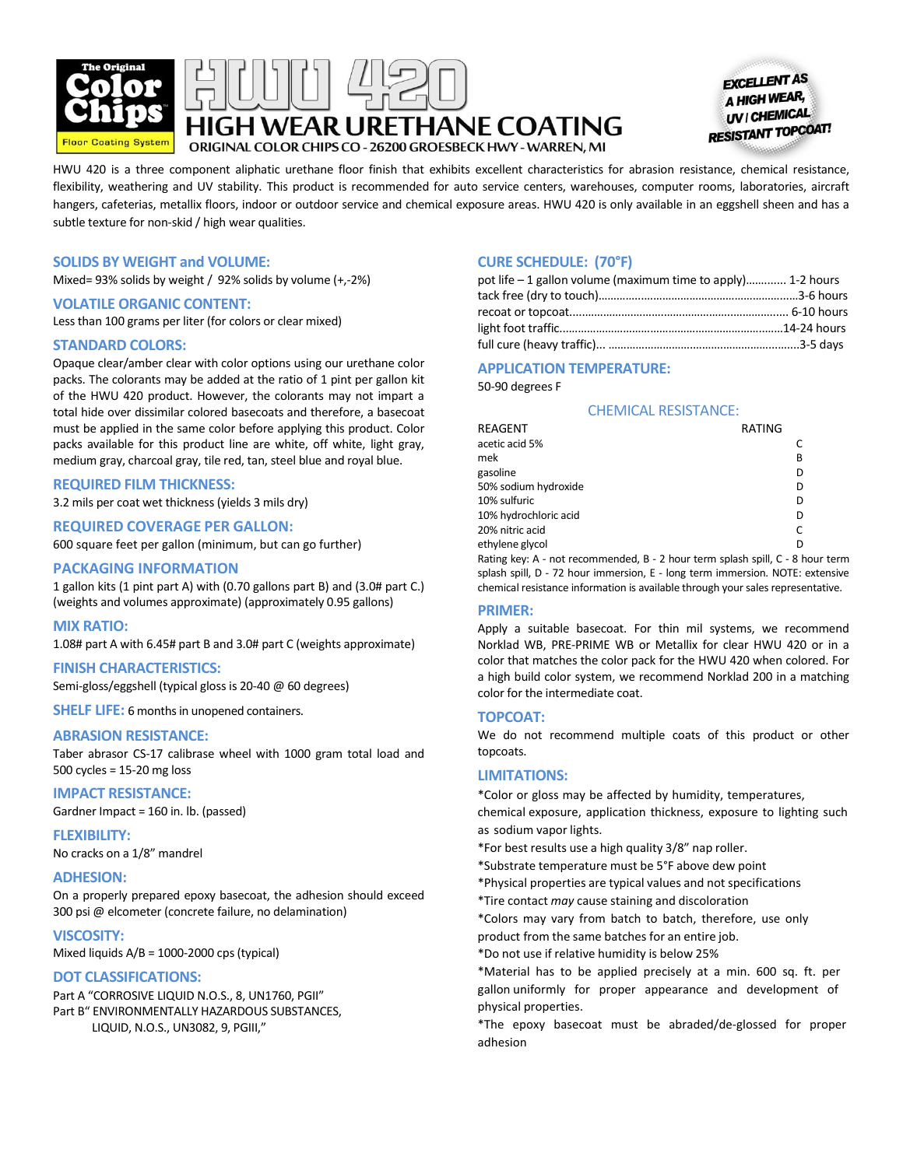





HWU 420 is a three component aliphatic urethane floor finish that exhibits excellent characteristics for abrasion resistance, chemical resistance, flexibility, weathering and UV stability. This product is recommended for auto service centers, warehouses, computer rooms, laboratories, aircraft hangers, cafeterias, metallix floors, indoor or outdoor service and chemical exposure areas. HWU 420 is only available in an eggshell sheen and has a subtle texture for non-skid / high wear qualities.

# **SOLIDS BY WEIGHT and VOLUME:**

Mixed= 93% solids by weight / 92% solids by volume (+,-2%)

#### **VOLATILE ORGANIC CONTENT:**

Less than 100 grams per liter (for colors or clear mixed)

#### **STANDARD COLORS:**

Opaque clear/amber clear with color options using our urethane color packs. The colorants may be added at the ratio of 1 pint per gallon kit of the HWU 420 product. However, the colorants may not impart a total hide over dissimilar colored basecoats and therefore, a basecoat must be applied in the same color before applying this product. Color packs available for this product line are white, off white, light gray, medium gray, charcoal gray, tile red, tan, steel blue and royal blue.

#### **REQUIRED FILM THICKNESS:**

3.2 mils per coat wet thickness (yields 3 mils dry)

# **REQUIRED COVERAGE PER GALLON:**

600 square feet per gallon (minimum, but can go further)

#### **PACKAGING INFORMATION**

1 gallon kits (1 pint part A) with (0.70 gallons part B) and (3.0# part C.) (weights and volumes approximate) (approximately 0.95 gallons)

#### **MIX RATIO:**

1.08# part A with 6.45# part B and 3.0# part C (weights approximate)

#### **FINISH CHARACTERISTICS:**

Semi-gloss/eggshell (typical gloss is 20-40 @ 60 degrees)

**SHELF LIFE:** 6 months in unopened containers.

# **ABRASION RESISTANCE:**

Taber abrasor CS-17 calibrase wheel with 1000 gram total load and 500 cycles = 15-20 mg loss

# **IMPACT RESISTANCE:**

Gardner Impact = 160 in. lb. (passed)

**FLEXIBILITY:**  No cracks on a 1/8" mandrel

#### **ADHESION:**

On a properly prepared epoxy basecoat, the adhesion should exceed 300 psi @ elcometer (concrete failure, no delamination)

#### **VISCOSITY:**

Mixed liquids A/B = 1000-2000 cps (typical)

#### **DOT CLASSIFICATIONS:**

Part A "CORROSIVE LIQUID N.O.S., 8, UN1760, PGII" Part B" ENVIRONMENTALLY HAZARDOUS SUBSTANCES, LIQUID, N.O.S., UN3082, 9, PGIII,"

### **CURE SCHEDULE: (70°F)**

| pot life $-1$ gallon volume (maximum time to apply) 1-2 hours |  |
|---------------------------------------------------------------|--|
|                                                               |  |
|                                                               |  |
|                                                               |  |
|                                                               |  |

# **APPLICATION TEMPERATURE:**

50-90 degrees F

#### CHEMICAL RESISTANCE:

| REAGENT                                                                                              | RATING |           |
|------------------------------------------------------------------------------------------------------|--------|-----------|
| acetic acid 5%                                                                                       |        |           |
| mek                                                                                                  |        | В         |
| gasoline                                                                                             |        | D         |
| 50% sodium hydroxide                                                                                 |        | D         |
| 10% sulfuric                                                                                         |        | D         |
| 10% hydrochloric acid                                                                                |        | D         |
| 20% nitric acid                                                                                      |        |           |
| ethylene glycol                                                                                      |        |           |
| Destructions Articles of the control of Decomposition of the Control of the Decomposition of the Dec |        | $\sim$ 1. |

Rating key: A - not recommended, B - 2 hour term splash spill, C - 8 hour term splash spill, D - 72 hour immersion, E - long term immersion. NOTE: extensive chemical resistance information is available through your sales representative.

#### **PRIMER:**

Apply a suitable basecoat. For thin mil systems, we recommend Norklad WB, PRE-PRIME WB or Metallix for clear HWU 420 or in a color that matches the color pack for the HWU 420 when colored. For a high build color system, we recommend Norklad 200 in a matching color for the intermediate coat.

#### **TOPCOAT:**

We do not recommend multiple coats of this product or other topcoats.

#### **LIMITATIONS:**

\*Color or gloss may be affected by humidity, temperatures, chemical exposure, application thickness, exposure to lighting such as sodium vapor lights.

\*For best results use a high quality 3/8" nap roller.

\*Substrate temperature must be 5°F above dew point

\*Physical properties are typical values and not specifications

\*Tire contact *may* cause staining and discoloration

\*Colors may vary from batch to batch, therefore, use only product from the same batches for an entire job.

\*Do not use if relative humidity is below 25%

\*Material has to be applied precisely at a min. 600 sq. ft. per gallon uniformly for proper appearance and development of physical properties.

\*The epoxy basecoat must be abraded/de-glossed for proper adhesion